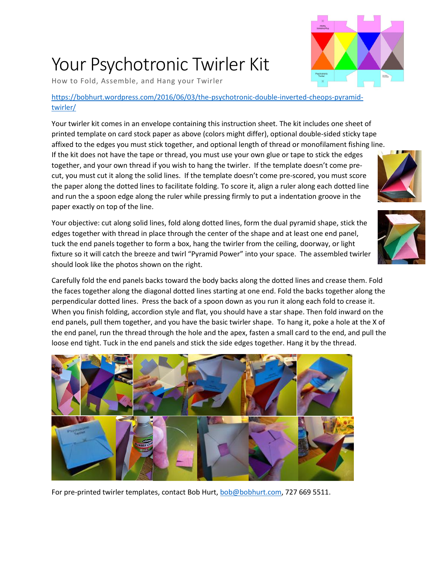## Your Psychotronic Twirler Kit

How to Fold, Assemble, and Hang your Twirler

## [https://bobhurt.wordpress.com/2016/06/03/the-psychotronic-double-inverted-cheops-pyramid](https://bobhurt.wordpress.com/2016/06/03/the-psychotronic-double-inverted-cheops-pyramid-twirler/)[twirler/](https://bobhurt.wordpress.com/2016/06/03/the-psychotronic-double-inverted-cheops-pyramid-twirler/)

Your twirler kit comes in an envelope containing this instruction sheet. The kit includes one sheet of printed template on card stock paper as above (colors might differ), optional double-sided sticky tape affixed to the edges you must stick together, and optional length of thread or monofilament fishing line.

If the kit does not have the tape or thread, you must use your own glue or tape to stick the edges together, and your own thread if you wish to hang the twirler. If the template doesn't come precut, you must cut it along the solid lines. If the template doesn't come pre-scored, you must score the paper along the dotted lines to facilitate folding. To score it, align a ruler along each dotted line and run the a spoon edge along the ruler while pressing firmly to put a indentation groove in the paper exactly on top of the line.

Your objective: cut along solid lines, fold along dotted lines, form the dual pyramid shape, stick the edges together with thread in place through the center of the shape and at least one end panel, tuck the end panels together to form a box, hang the twirler from the ceiling, doorway, or light fixture so it will catch the breeze and twirl "Pyramid Power" into your space. The assembled twirler should look like the photos shown on the right.

Carefully fold the end panels backs toward the body backs along the dotted lines and crease them. Fold the faces together along the diagonal dotted lines starting at one end. Fold the backs together along the perpendicular dotted lines. Press the back of a spoon down as you run it along each fold to crease it. When you finish folding, accordion style and flat, you should have a star shape. Then fold inward on the end panels, pull them together, and you have the basic twirler shape. To hang it, poke a hole at the X of the end panel, run the thread through the hole and the apex, fasten a small card to the end, and pull the loose end tight. Tuck in the end panels and stick the side edges together. Hang it by the thread.



For pre-printed twirler templates, contact Bob Hurt, [bob@bobhurt.com,](mailto:bob@bobhurt.com) 727 669 5511.





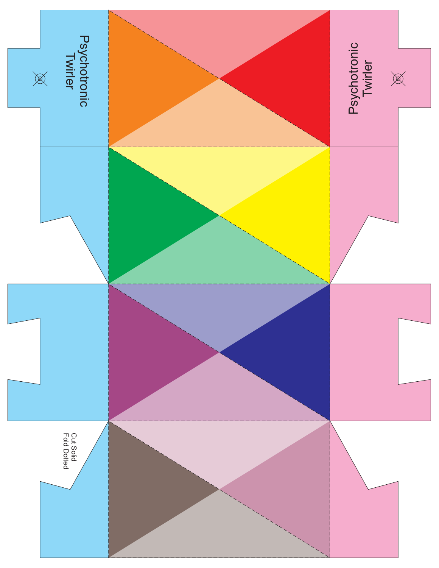